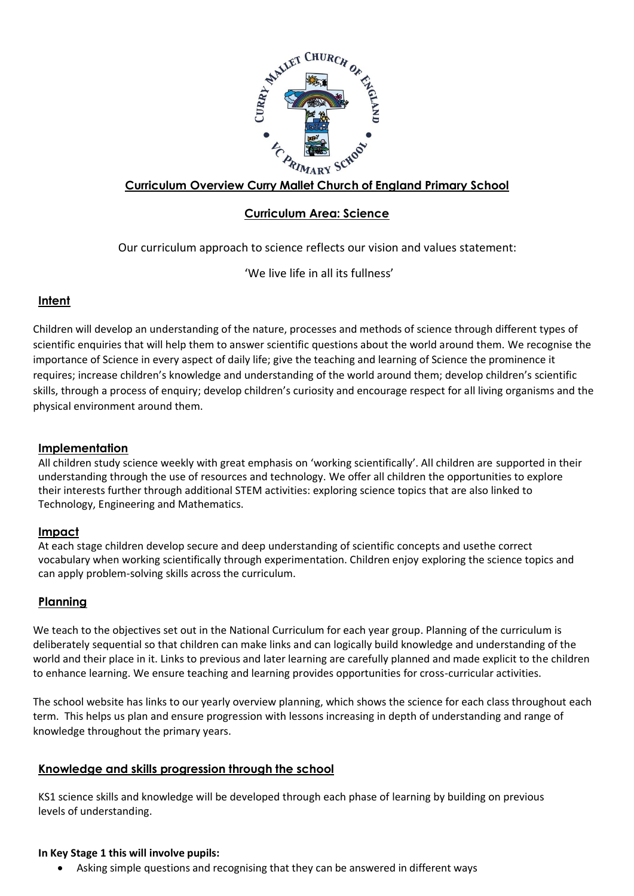

## **Curriculum Overview Curry Mallet Church of England Primary School**

# **Curriculum Area: Science**

Our curriculum approach to science reflects our vision and values statement:

'We live life in all its fullness'

### **Intent**

Children will develop an understanding of the nature, processes and methods of science through different types of scientific enquiries that will help them to answer scientific questions about the world around them. We recognise the importance of Science in every aspect of daily life; give the teaching and learning of Science the prominence it requires; increase children's knowledge and understanding of the world around them; develop children's scientific skills, through a process of enquiry; develop children's curiosity and encourage respect for all living organisms and the physical environment around them.

#### **Implementation**

All children study science weekly with great emphasis on 'working scientifically'. All children are supported in their understanding through the use of resources and technology. We offer all children the opportunities to explore their interests further through additional STEM activities: exploring science topics that are also linked to Technology, Engineering and Mathematics.

#### **Impact**

At each stage children develop secure and deep understanding of scientific concepts and usethe correct vocabulary when working scientifically through experimentation. Children enjoy exploring the science topics and can apply problem-solving skills across the curriculum.

## **Planning**

We teach to the objectives set out in the National Curriculum for each year group. Planning of the curriculum is deliberately sequential so that children can make links and can logically build knowledge and understanding of the world and their place in it. Links to previous and later learning are carefully planned and made explicit to the children to enhance learning. We ensure teaching and learning provides opportunities for cross-curricular activities.

The school website has links to our yearly overview planning, which shows the science for each class throughout each term. This helps us plan and ensure progression with lessons increasing in depth of understanding and range of knowledge throughout the primary years.

## **Knowledge and skills progression through the school**

KS1 science skills and knowledge will be developed through each phase of learning by building on previous levels of understanding.

#### **In Key Stage 1 this will involve pupils:**

• Asking simple questions and recognising that they can be answered in different ways